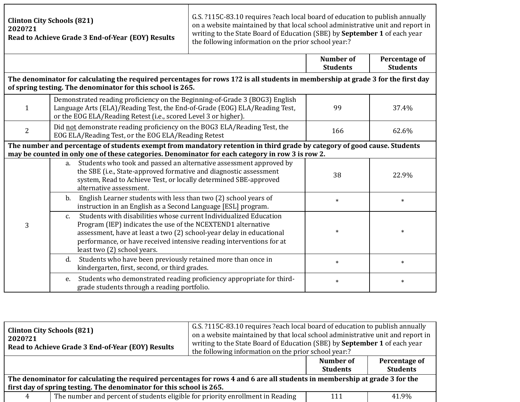| <b>Clinton City Schools (821)</b><br>2020?21<br>Read to Achieve Grade 3 End-of-Year (EOY) Results                                                                                                                            |                                                                                                                                                                                                                                                                                                                                 | G.S. ?115C-83.10 requires ?each local board of education to publish annually<br>on a website maintained by that local school administrative unit and report in<br>writing to the State Board of Education (SBE) by September 1 of each year<br>the following information on the prior school year:? |                                     |                                  |
|------------------------------------------------------------------------------------------------------------------------------------------------------------------------------------------------------------------------------|---------------------------------------------------------------------------------------------------------------------------------------------------------------------------------------------------------------------------------------------------------------------------------------------------------------------------------|-----------------------------------------------------------------------------------------------------------------------------------------------------------------------------------------------------------------------------------------------------------------------------------------------------|-------------------------------------|----------------------------------|
|                                                                                                                                                                                                                              |                                                                                                                                                                                                                                                                                                                                 |                                                                                                                                                                                                                                                                                                     | <b>Number of</b><br><b>Students</b> | Percentage of<br><b>Students</b> |
|                                                                                                                                                                                                                              | The denominator for calculating the required percentages for rows 1?2 is all students in membership at grade 3 for the first day<br>of spring testing. The denominator for this school is 265.                                                                                                                                  |                                                                                                                                                                                                                                                                                                     |                                     |                                  |
| 1                                                                                                                                                                                                                            | Demonstrated reading proficiency on the Beginning-of-Grade 3 (BOG3) English<br>Language Arts (ELA)/Reading Test, the End-of-Grade (EOG) ELA/Reading Test,<br>or the EOG ELA/Reading Retest (i.e., scored Level 3 or higher).                                                                                                    |                                                                                                                                                                                                                                                                                                     | 99                                  | 37.4%                            |
| 2                                                                                                                                                                                                                            | Did not demonstrate reading proficiency on the BOG3 ELA/Reading Test, the<br>EOG ELA/Reading Test, or the EOG ELA/Reading Retest                                                                                                                                                                                                |                                                                                                                                                                                                                                                                                                     | 166                                 | 62.6%                            |
| The number and percentage of students exempt from mandatory retention in third grade by category of good cause. Students<br>may be counted in only one of these categories. Denominator for each category in row 3 is row 2. |                                                                                                                                                                                                                                                                                                                                 |                                                                                                                                                                                                                                                                                                     |                                     |                                  |
|                                                                                                                                                                                                                              | Students who took and passed an alternative assessment approved by<br>a.<br>the SBE (i.e., State-approved formative and diagnostic assessment<br>system, Read to Achieve Test, or locally determined SBE-approved<br>alternative assessment.                                                                                    |                                                                                                                                                                                                                                                                                                     | 38                                  | 22.9%                            |
| 3                                                                                                                                                                                                                            | English Learner students with less than two (2) school years of<br>$\mathbf b$ .<br>instruction in an English as a Second Language [ESL] program.                                                                                                                                                                               |                                                                                                                                                                                                                                                                                                     | $\ast$                              | $\ast$                           |
|                                                                                                                                                                                                                              | Students with disabilities whose current Individualized Education<br>$C_{\cdot}$<br>Program (IEP) indicates the use of the NCEXTEND1 alternative<br>assessment, have at least a two (2) school-year delay in educational<br>performance, or have received intensive reading interventions for at<br>least two (2) school years. |                                                                                                                                                                                                                                                                                                     | $\ast$                              | $\ast$                           |
|                                                                                                                                                                                                                              | Students who have been previously retained more than once in<br>d.<br>kindergarten, first, second, or third grades.                                                                                                                                                                                                             |                                                                                                                                                                                                                                                                                                     | $\ast$                              | $\ast$                           |
|                                                                                                                                                                                                                              | Students who demonstrated reading proficiency appropriate for third-<br>e.<br>grade students through a reading portfolio.                                                                                                                                                                                                       |                                                                                                                                                                                                                                                                                                     | $\ast$                              | $\ast$                           |

| <b>Clinton City Schools (821)</b><br>2020?21                                                                                | Read to Achieve Grade 3 End-of-Year (EOY) Results                                       | G.S. ?115C-83.10 requires ?each local board of education to publish annually<br>on a website maintained by that local school administrative unit and report in<br>writing to the State Board of Education (SBE) by September 1 of each year<br>the following information on the prior school year:? |                              |                                  |
|-----------------------------------------------------------------------------------------------------------------------------|-----------------------------------------------------------------------------------------|-----------------------------------------------------------------------------------------------------------------------------------------------------------------------------------------------------------------------------------------------------------------------------------------------------|------------------------------|----------------------------------|
|                                                                                                                             |                                                                                         |                                                                                                                                                                                                                                                                                                     | Number of<br><b>Students</b> | Percentage of<br><b>Students</b> |
| The denominator for calculating the required percentages for rows 4 and 6 are all students in membership at grade 3 for the |                                                                                         |                                                                                                                                                                                                                                                                                                     |                              |                                  |
| first day of spring testing. The denominator for this school is 265.                                                        |                                                                                         |                                                                                                                                                                                                                                                                                                     |                              |                                  |
| 4                                                                                                                           | The number and percent of students eligible for priority enrollment in Reading<br>41.9% |                                                                                                                                                                                                                                                                                                     |                              |                                  |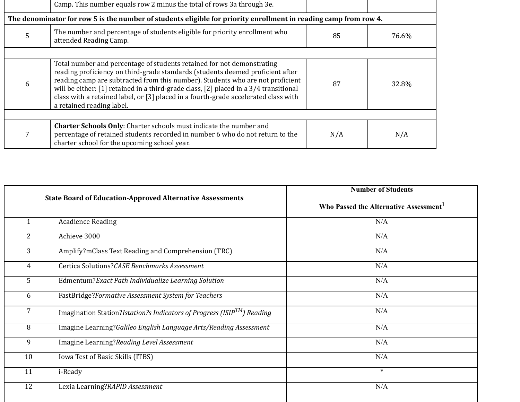|                                                                                                                  | Camp. This number equals row 2 minus the total of rows 3a through 3e.                                                                                                                                                                                                                                                                                                                                                                                         |     |       |  |
|------------------------------------------------------------------------------------------------------------------|---------------------------------------------------------------------------------------------------------------------------------------------------------------------------------------------------------------------------------------------------------------------------------------------------------------------------------------------------------------------------------------------------------------------------------------------------------------|-----|-------|--|
| The denominator for row 5 is the number of students eligible for priority enrollment in reading camp from row 4. |                                                                                                                                                                                                                                                                                                                                                                                                                                                               |     |       |  |
| 5                                                                                                                | The number and percentage of students eligible for priority enrollment who<br>attended Reading Camp.                                                                                                                                                                                                                                                                                                                                                          | 85  | 76.6% |  |
|                                                                                                                  |                                                                                                                                                                                                                                                                                                                                                                                                                                                               |     |       |  |
| h                                                                                                                | Total number and percentage of students retained for not demonstrating<br>reading proficiency on third-grade standards (students deemed proficient after<br>reading camp are subtracted from this number). Students who are not proficient<br>87<br>will be either: [1] retained in a third-grade class, [2] placed in a 3/4 transitional<br>class with a retained label, or [3] placed in a fourth-grade accelerated class with<br>a retained reading label. |     | 32.8% |  |
|                                                                                                                  |                                                                                                                                                                                                                                                                                                                                                                                                                                                               |     |       |  |
|                                                                                                                  | <b>Charter Schools Only:</b> Charter schools must indicate the number and<br>percentage of retained students recorded in number 6 who do not return to the<br>charter school for the upcoming school year.                                                                                                                                                                                                                                                    | N/A | N/A   |  |

| <b>State Board of Education-Approved Alternative Assessments</b>                          | <b>Number of Students</b><br>Who Passed the Alternative Assessment <sup>1</sup> |  |
|-------------------------------------------------------------------------------------------|---------------------------------------------------------------------------------|--|
| <b>Acadience Reading</b>                                                                  | N/A                                                                             |  |
| Achieve 3000                                                                              | N/A                                                                             |  |
| Amplify?mClass Text Reading and Comprehension (TRC)                                       | N/A                                                                             |  |
| Certica Solutions?CASE Benchmarks Assessment                                              | N/A                                                                             |  |
| Edmentum?Exact Path Individualize Learning Solution                                       | N/A                                                                             |  |
| FastBridge?Formative Assessment System for Teachers                                       | N/A                                                                             |  |
| Imagination Station? <i>Istation?s Indicators of Progress (ISIP<sup>TM</sup>)</i> Reading | N/A                                                                             |  |
| Imagine Learning?Galileo English Language Arts/Reading Assessment                         | N/A                                                                             |  |
| Imagine Learning?Reading Level Assessment                                                 | N/A                                                                             |  |
| Iowa Test of Basic Skills (ITBS)                                                          | N/A                                                                             |  |
| i-Ready                                                                                   | $\ast$                                                                          |  |
| Lexia Learning?RAPID Assessment                                                           | N/A                                                                             |  |
|                                                                                           |                                                                                 |  |